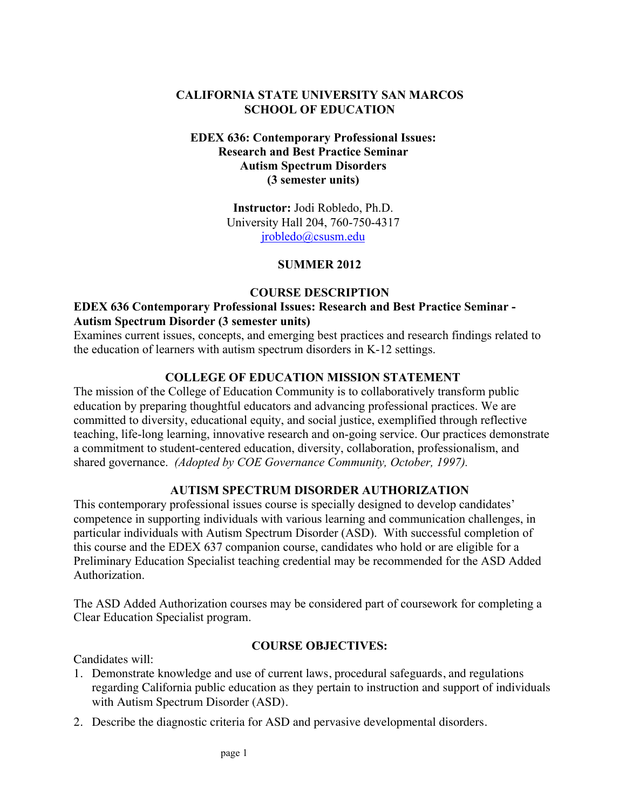# **CALIFORNIA STATE UNIVERSITY SAN MARCOS SCHOOL OF EDUCATION**

## **EDEX 636: Contemporary Professional Issues: Research and Best Practice Seminar Autism Spectrum Disorders (3 semester units)**

**Instructor:** Jodi Robledo, Ph.D. University Hall 204, 760-750-4317 jrobledo@csusm.edu

# **SUMMER 2012**

#### **COURSE DESCRIPTION**

## **EDEX 636 Contemporary Professional Issues: Research and Best Practice Seminar - Autism Spectrum Disorder (3 semester units)**

Examines current issues, concepts, and emerging best practices and research findings related to the education of learners with autism spectrum disorders in K-12 settings.

# **COLLEGE OF EDUCATION MISSION STATEMENT**

The mission of the College of Education Community is to collaboratively transform public education by preparing thoughtful educators and advancing professional practices. We are committed to diversity, educational equity, and social justice, exemplified through reflective teaching, life-long learning, innovative research and on-going service. Our practices demonstrate a commitment to student-centered education, diversity, collaboration, professionalism, and shared governance. *(Adopted by COE Governance Community, October, 1997).*

# **AUTISM SPECTRUM DISORDER AUTHORIZATION**

This contemporary professional issues course is specially designed to develop candidates' competence in supporting individuals with various learning and communication challenges, in particular individuals with Autism Spectrum Disorder (ASD). With successful completion of this course and the EDEX 637 companion course, candidates who hold or are eligible for a Preliminary Education Specialist teaching credential may be recommended for the ASD Added Authorization.

The ASD Added Authorization courses may be considered part of coursework for completing a Clear Education Specialist program.

#### **COURSE OBJECTIVES:**

Candidates will:

- 1. Demonstrate knowledge and use of current laws, procedural safeguards, and regulations regarding California public education as they pertain to instruction and support of individuals with Autism Spectrum Disorder (ASD).
- 2. Describe the diagnostic criteria for ASD and pervasive developmental disorders.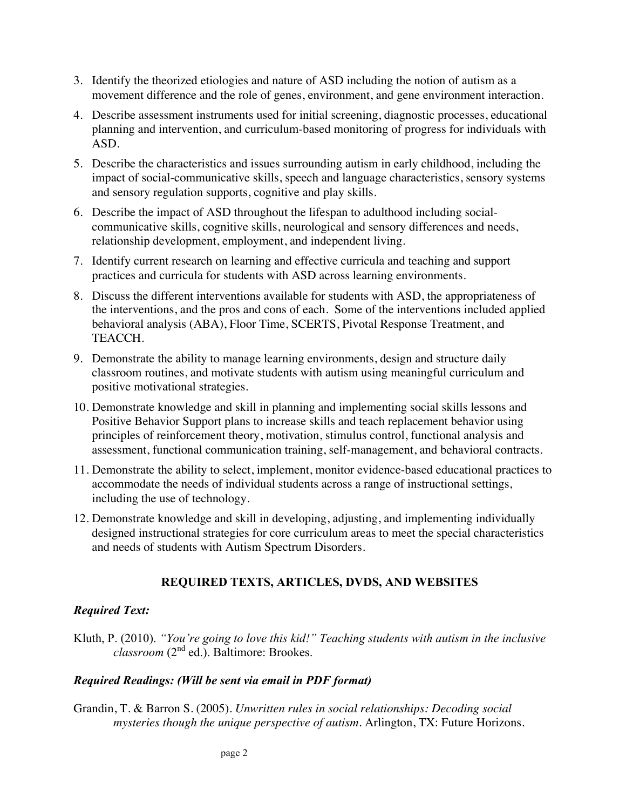- 3. Identify the theorized etiologies and nature of ASD including the notion of autism as a movement difference and the role of genes, environment, and gene environment interaction.
- 4. Describe assessment instruments used for initial screening, diagnostic processes, educational planning and intervention, and curriculum-based monitoring of progress for individuals with ASD.
- 5. Describe the characteristics and issues surrounding autism in early childhood, including the impact of social-communicative skills, speech and language characteristics, sensory systems and sensory regulation supports, cognitive and play skills.
- 6. Describe the impact of ASD throughout the lifespan to adulthood including socialcommunicative skills, cognitive skills, neurological and sensory differences and needs, relationship development, employment, and independent living.
- 7. Identify current research on learning and effective curricula and teaching and support practices and curricula for students with ASD across learning environments.
- 8. Discuss the different interventions available for students with ASD, the appropriateness of the interventions, and the pros and cons of each. Some of the interventions included applied behavioral analysis (ABA), Floor Time, SCERTS, Pivotal Response Treatment, and TEACCH.
- 9. Demonstrate the ability to manage learning environments, design and structure daily classroom routines, and motivate students with autism using meaningful curriculum and positive motivational strategies.
- 10. Demonstrate knowledge and skill in planning and implementing social skills lessons and Positive Behavior Support plans to increase skills and teach replacement behavior using principles of reinforcement theory, motivation, stimulus control, functional analysis and assessment, functional communication training, self-management, and behavioral contracts.
- 11. Demonstrate the ability to select, implement, monitor evidence-based educational practices to accommodate the needs of individual students across a range of instructional settings, including the use of technology.
- 12. Demonstrate knowledge and skill in developing, adjusting, and implementing individually designed instructional strategies for core curriculum areas to meet the special characteristics and needs of students with Autism Spectrum Disorders.

# **REQUIRED TEXTS, ARTICLES, DVDS, AND WEBSITES**

# *Required Text:*

Kluth, P. (2010). *"You're going to love this kid!" Teaching students with autism in the inclusive classroom* (2nd ed.). Baltimore: Brookes.

# *Required Readings: (Will be sent via email in PDF format)*

Grandin, T. & Barron S. (2005). *Unwritten rules in social relationships: Decoding social mysteries though the unique perspective of autism.* Arlington, TX: Future Horizons.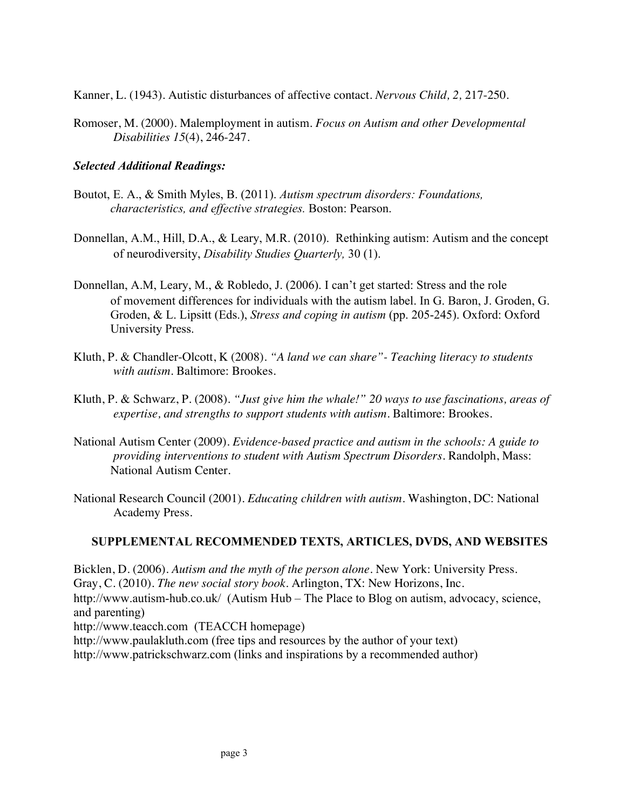Kanner, L. (1943). Autistic disturbances of affective contact. *Nervous Child, 2,* 217-250.

Romoser, M. (2000). Malemployment in autism. *Focus on Autism and other Developmental Disabilities 15*(4), 246-247.

# *Selected Additional Readings:*

- Boutot, E. A., & Smith Myles, B. (2011). *Autism spectrum disorders: Foundations, characteristics, and effective strategies.* Boston: Pearson.
- Donnellan, A.M., Hill, D.A., & Leary, M.R. (2010). Rethinking autism: Autism and the concept of neurodiversity, *Disability Studies Quarterly,* 30 (1).
- Donnellan, A.M, Leary, M., & Robledo, J. (2006). I can't get started: Stress and the role of movement differences for individuals with the autism label. In G. Baron, J. Groden, G. Groden, & L. Lipsitt (Eds.), *Stress and coping in autism* (pp. 205-245). Oxford: Oxford University Press.
- Kluth, P. & Chandler-Olcott, K (2008). *"A land we can share"- Teaching literacy to students with autism.* Baltimore: Brookes.
- Kluth, P. & Schwarz, P. (2008). *"Just give him the whale!" 20 ways to use fascinations, areas of expertise, and strengths to support students with autism.* Baltimore: Brookes.
- National Autism Center (2009). *Evidence-based practice and autism in the schools: A guide to providing interventions to student with Autism Spectrum Disorders.* Randolph, Mass: National Autism Center.
- National Research Council (2001). *Educating children with autism.* Washington, DC: National Academy Press.

# **SUPPLEMENTAL RECOMMENDED TEXTS, ARTICLES, DVDS, AND WEBSITES**

Bicklen, D. (2006). *Autism and the myth of the person alone*. New York: University Press. Gray, C. (2010). *The new social story book.* Arlington, TX: New Horizons, Inc. http://www.autism-hub.co.uk/ (Autism Hub – The Place to Blog on autism, advocacy, science, and parenting) http://www.teacch.com (TEACCH homepage) http://www.paulakluth.com (free tips and resources by the author of your text) http://www.patrickschwarz.com (links and inspirations by a recommended author)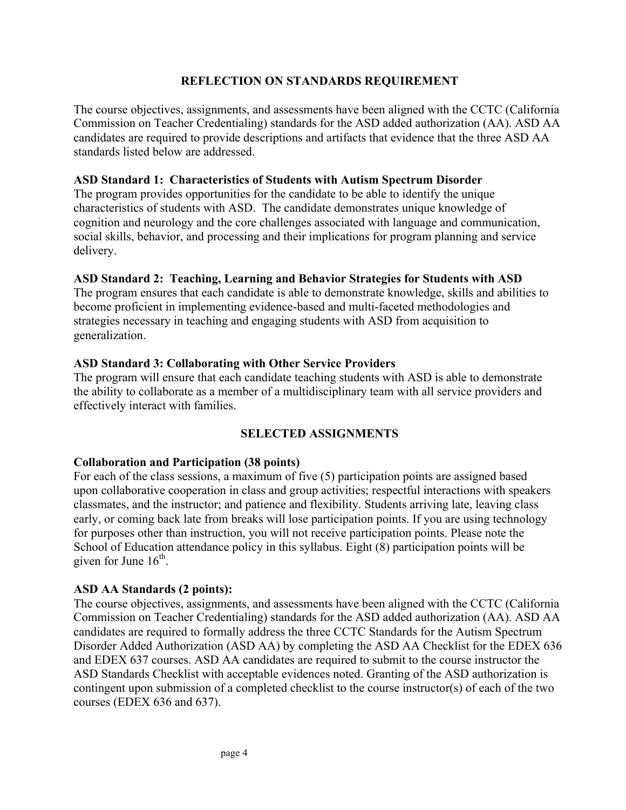## **REFLECTION ON STANDARDS REQUIREMENT**

The course objectives, assignments, and assessments have been aligned with the CCTC (California Commission on Teacher Credentialing) standards for the ASD added authorization (AA). ASD AA candidates are required to provide descriptions and artifacts that evidence that the three ASD AA standards listed below are addressed.

## **ASD Standard 1: Characteristics of Students with Autism Spectrum Disorder**

The program provides opportunities for the candidate to be able to identify the unique characteristics of students with ASD. The candidate demonstrates unique knowledge of cognition and neurology and the core challenges associated with language and communication, social skills, behavior, and processing and their implications for program planning and service delivery.

## **ASD Standard 2: Teaching, Learning and Behavior Strategies for Students with ASD**

The program ensures that each candidate is able to demonstrate knowledge, skills and abilities to become proficient in implementing evidence-based and multi-faceted methodologies and strategies necessary in teaching and engaging students with ASD from acquisition to generalization.

## **ASD Standard 3: Collaborating with Other Service Providers**

The program will ensure that each candidate teaching students with ASD is able to demonstrate the ability to collaborate as a member of a multidisciplinary team with all service providers and effectively interact with families.

# **SELECTED ASSIGNMENTS**

#### **Collaboration and Participation (38 points)**

For each of the class sessions, a maximum of five (5) participation points are assigned based upon collaborative cooperation in class and group activities; respectful interactions with speakers classmates, and the instructor; and patience and flexibility. Students arriving late, leaving class early, or coming back late from breaks will lose participation points. If you are using technology for purposes other than instruction, you will not receive participation points. Please note the School of Education attendance policy in this syllabus. Eight (8) participation points will be given for June  $16<sup>th</sup>$ .

#### **ASD AA Standards (2 points):**

The course objectives, assignments, and assessments have been aligned with the CCTC (California Commission on Teacher Credentialing) standards for the ASD added authorization (AA). ASD AA candidates are required to formally address the three CCTC Standards for the Autism Spectrum Disorder Added Authorization (ASD AA) by completing the ASD AA Checklist for the EDEX 636 and EDEX 637 courses. ASD AA candidates are required to submit to the course instructor the ASD Standards Checklist with acceptable evidences noted. Granting of the ASD authorization is contingent upon submission of a completed checklist to the course instructor(s) of each of the two courses (EDEX 636 and 637).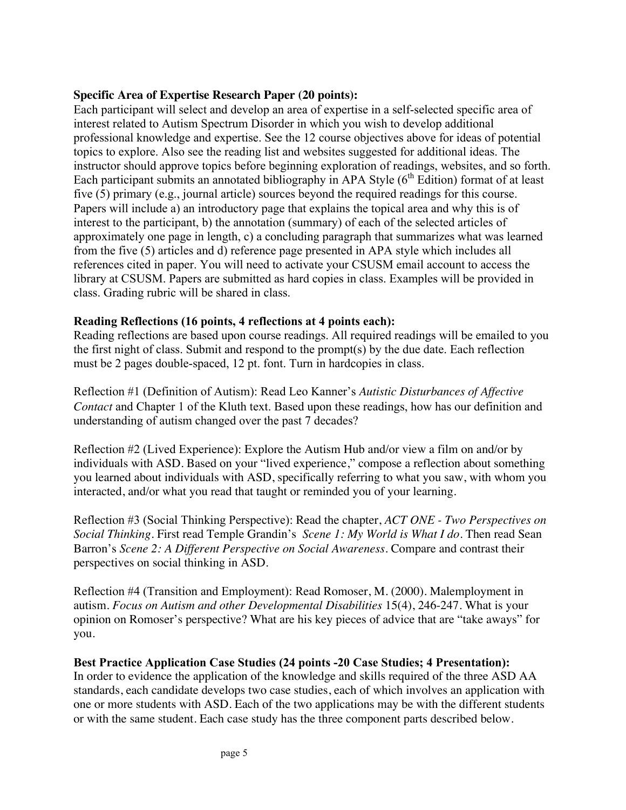# **Specific Area of Expertise Research Paper (20 points):**

Each participant will select and develop an area of expertise in a self-selected specific area of interest related to Autism Spectrum Disorder in which you wish to develop additional professional knowledge and expertise. See the 12 course objectives above for ideas of potential topics to explore. Also see the reading list and websites suggested for additional ideas. The instructor should approve topics before beginning exploration of readings, websites, and so forth. Each participant submits an annotated bibliography in APA Style  $(6<sup>th</sup> Edition)$  format of at least five (5) primary (e.g., journal article) sources beyond the required readings for this course. Papers will include a) an introductory page that explains the topical area and why this is of interest to the participant, b) the annotation (summary) of each of the selected articles of approximately one page in length, c) a concluding paragraph that summarizes what was learned from the five (5) articles and d) reference page presented in APA style which includes all references cited in paper. You will need to activate your CSUSM email account to access the library at CSUSM. Papers are submitted as hard copies in class. Examples will be provided in class. Grading rubric will be shared in class.

## **Reading Reflections (16 points, 4 reflections at 4 points each):**

Reading reflections are based upon course readings. All required readings will be emailed to you the first night of class. Submit and respond to the prompt(s) by the due date. Each reflection must be 2 pages double-spaced, 12 pt. font. Turn in hardcopies in class.

Reflection #1 (Definition of Autism): Read Leo Kanner's *Autistic Disturbances of Affective Contact* and Chapter 1 of the Kluth text. Based upon these readings, how has our definition and understanding of autism changed over the past 7 decades?

Reflection #2 (Lived Experience): Explore the Autism Hub and/or view a film on and/or by individuals with ASD. Based on your "lived experience," compose a reflection about something you learned about individuals with ASD, specifically referring to what you saw, with whom you interacted, and/or what you read that taught or reminded you of your learning.

Reflection #3 (Social Thinking Perspective): Read the chapter, *ACT ONE - Two Perspectives on Social Thinking*. First read Temple Grandin's *Scene 1: My World is What I do*. Then read Sean Barron's *Scene 2: A Different Perspective on Social Awareness*. Compare and contrast their perspectives on social thinking in ASD.

Reflection #4 (Transition and Employment): Read Romoser, M. (2000). Malemployment in autism. *Focus on Autism and other Developmental Disabilities* 15(4), 246-247. What is your opinion on Romoser's perspective? What are his key pieces of advice that are "take aways" for you.

#### **Best Practice Application Case Studies (24 points -20 Case Studies; 4 Presentation):**

In order to evidence the application of the knowledge and skills required of the three ASD AA standards, each candidate develops two case studies, each of which involves an application with one or more students with ASD. Each of the two applications may be with the different students or with the same student. Each case study has the three component parts described below.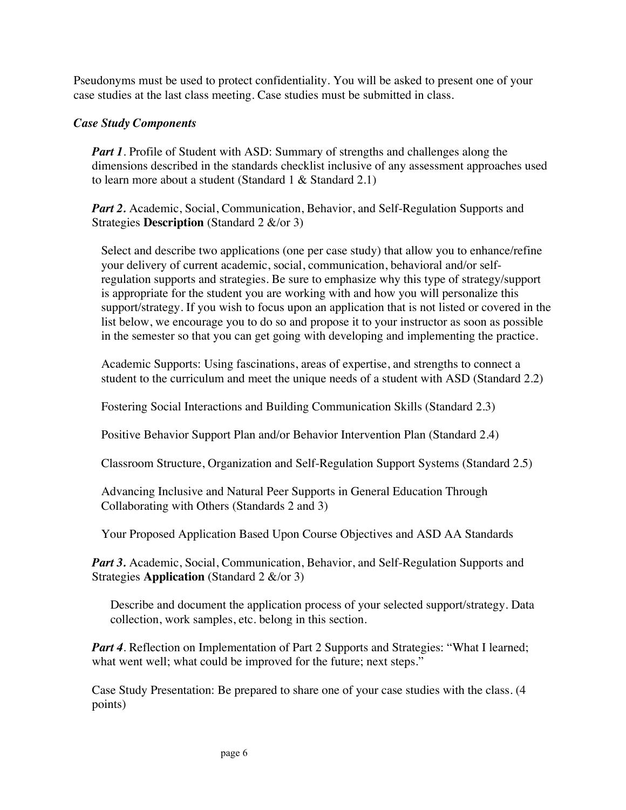Pseudonyms must be used to protect confidentiality. You will be asked to present one of your case studies at the last class meeting. Case studies must be submitted in class.

## *Case Study Components*

*Part 1*. Profile of Student with ASD: Summary of strengths and challenges along the dimensions described in the standards checklist inclusive of any assessment approaches used to learn more about a student (Standard 1 & Standard 2.1)

*Part 2.* Academic, Social, Communication, Behavior, and Self-Regulation Supports and Strategies **Description** (Standard 2 &/or 3)

Select and describe two applications (one per case study) that allow you to enhance/refine your delivery of current academic, social, communication, behavioral and/or selfregulation supports and strategies. Be sure to emphasize why this type of strategy/support is appropriate for the student you are working with and how you will personalize this support/strategy. If you wish to focus upon an application that is not listed or covered in the list below, we encourage you to do so and propose it to your instructor as soon as possible in the semester so that you can get going with developing and implementing the practice.

Academic Supports: Using fascinations, areas of expertise, and strengths to connect a student to the curriculum and meet the unique needs of a student with ASD (Standard 2.2)

Fostering Social Interactions and Building Communication Skills (Standard 2.3)

Positive Behavior Support Plan and/or Behavior Intervention Plan (Standard 2.4)

Classroom Structure, Organization and Self-Regulation Support Systems (Standard 2.5)

Advancing Inclusive and Natural Peer Supports in General Education Through Collaborating with Others (Standards 2 and 3)

Your Proposed Application Based Upon Course Objectives and ASD AA Standards

*Part 3.* Academic, Social, Communication, Behavior, and Self-Regulation Supports and Strategies **Application** (Standard 2 &/or 3)

Describe and document the application process of your selected support/strategy. Data collection, work samples, etc. belong in this section.

*Part 4.* Reflection on Implementation of Part 2 Supports and Strategies: "What I learned; what went well; what could be improved for the future; next steps."

Case Study Presentation: Be prepared to share one of your case studies with the class. (4 points)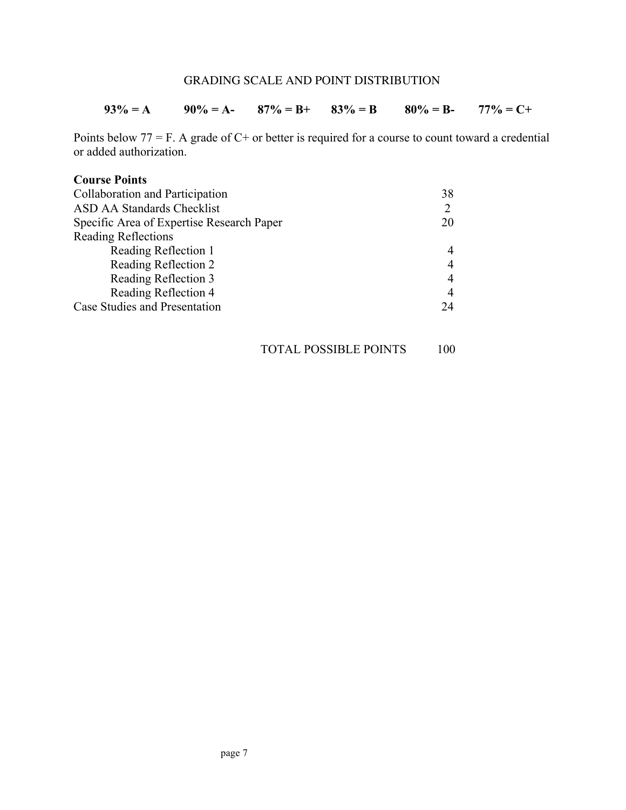## GRADING SCALE AND POINT DISTRIBUTION

#### **93% = A 90% = A- 87% = B+ 83% = B 80% = B- 77% = C+**

Points below 77 = F. A grade of C+ or better is required for a course to count toward a credential or added authorization.

#### **Course Points**

| Collaboration and Participation           | 38 |  |
|-------------------------------------------|----|--|
| <b>ASD AA Standards Checklist</b>         |    |  |
| Specific Area of Expertise Research Paper | 20 |  |
| <b>Reading Reflections</b>                |    |  |
| Reading Reflection 1                      | 4  |  |
| Reading Reflection 2                      | 4  |  |
| Reading Reflection 3                      | 4  |  |
| Reading Reflection 4                      | 4  |  |
| Case Studies and Presentation             | 24 |  |

## TOTAL POSSIBLE POINTS 100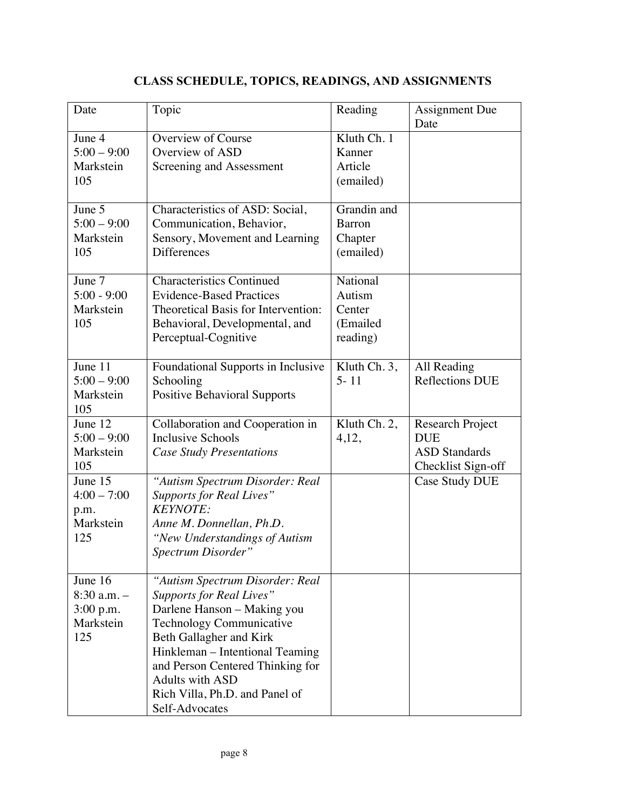# **CLASS SCHEDULE, TOPICS, READINGS, AND ASSIGNMENTS**

| Date                                                        | Topic                                                                                                                                                                                                                                                                                                         | Reading                                              | Assignment Due<br>Date                                                       |
|-------------------------------------------------------------|---------------------------------------------------------------------------------------------------------------------------------------------------------------------------------------------------------------------------------------------------------------------------------------------------------------|------------------------------------------------------|------------------------------------------------------------------------------|
| June 4<br>$5:00 - 9:00$<br>Markstein<br>105                 | Overview of Course<br>Overview of ASD<br>Screening and Assessment                                                                                                                                                                                                                                             | Kluth Ch. 1<br>Kanner<br>Article<br>(emailed)        |                                                                              |
| June 5<br>$5:00 - 9:00$<br>Markstein<br>105                 | Characteristics of ASD: Social,<br>Communication, Behavior,<br>Sensory, Movement and Learning<br><b>Differences</b>                                                                                                                                                                                           | Grandin and<br><b>Barron</b><br>Chapter<br>(emailed) |                                                                              |
| June 7<br>$5:00 - 9:00$<br>Markstein<br>105                 | <b>Characteristics Continued</b><br><b>Evidence-Based Practices</b><br>Theoretical Basis for Intervention:<br>Behavioral, Developmental, and<br>Perceptual-Cognitive                                                                                                                                          | National<br>Autism<br>Center<br>(Emailed<br>reading) |                                                                              |
| June 11<br>$5:00 - 9:00$<br>Markstein<br>105                | Foundational Supports in Inclusive<br>Schooling<br><b>Positive Behavioral Supports</b>                                                                                                                                                                                                                        | Kluth Ch. 3,<br>$5 - 11$                             | All Reading<br><b>Reflections DUE</b>                                        |
| June $12$<br>$5:00 - 9:00$<br>Markstein<br>105              | Collaboration and Cooperation in<br><b>Inclusive Schools</b><br><b>Case Study Presentations</b>                                                                                                                                                                                                               | Kluth Ch. 2,<br>4,12,                                | Research Project<br><b>DUE</b><br><b>ASD</b> Standards<br>Checklist Sign-off |
| June 15<br>$4:00 - 7:00$<br>p.m.<br>Markstein<br>125        | "Autism Spectrum Disorder: Real<br><b>Supports for Real Lives"</b><br><b>KEYNOTE:</b><br>Anne M. Donnellan, Ph.D.<br>"New Understandings of Autism<br>Spectrum Disorder"                                                                                                                                      |                                                      | Case Study DUE                                                               |
| June 16<br>$8:30$ a.m. $-$<br>3:00 p.m.<br>Markstein<br>125 | "Autism Spectrum Disorder: Real<br><b>Supports for Real Lives"</b><br>Darlene Hanson - Making you<br><b>Technology Communicative</b><br>Beth Gallagher and Kirk<br>Hinkleman – Intentional Teaming<br>and Person Centered Thinking for<br>Adults with ASD<br>Rich Villa, Ph.D. and Panel of<br>Self-Advocates |                                                      |                                                                              |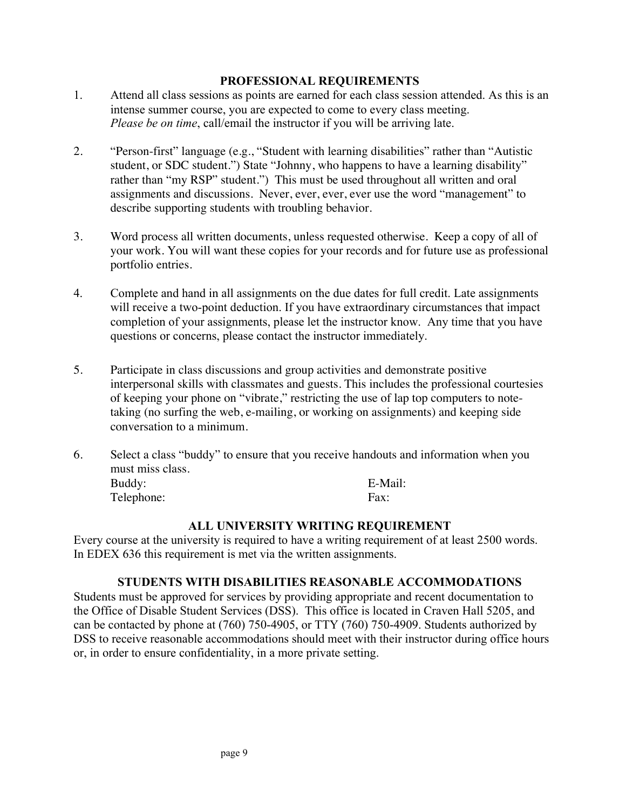#### **PROFESSIONAL REQUIREMENTS**

- 1. Attend all class sessions as points are earned for each class session attended. As this is an intense summer course, you are expected to come to every class meeting. *Please be on time*, call/email the instructor if you will be arriving late.
- 2. "Person-first" language (e.g., "Student with learning disabilities" rather than "Autistic student, or SDC student.") State "Johnny, who happens to have a learning disability" rather than "my RSP" student.") This must be used throughout all written and oral assignments and discussions. Never, ever, ever, ever use the word "management" to describe supporting students with troubling behavior.
- 3. Word process all written documents, unless requested otherwise. Keep a copy of all of your work. You will want these copies for your records and for future use as professional portfolio entries.
- 4. Complete and hand in all assignments on the due dates for full credit. Late assignments will receive a two-point deduction. If you have extraordinary circumstances that impact completion of your assignments, please let the instructor know. Any time that you have questions or concerns, please contact the instructor immediately.
- 5. Participate in class discussions and group activities and demonstrate positive interpersonal skills with classmates and guests. This includes the professional courtesies of keeping your phone on "vibrate," restricting the use of lap top computers to notetaking (no surfing the web, e-mailing, or working on assignments) and keeping side conversation to a minimum.
- 6. Select a class "buddy" to ensure that you receive handouts and information when you must miss class. Buddy: E-Mail: Telephone: Fax:

#### **ALL UNIVERSITY WRITING REQUIREMENT**

Every course at the university is required to have a writing requirement of at least 2500 words. In EDEX 636 this requirement is met via the written assignments.

#### **STUDENTS WITH DISABILITIES REASONABLE ACCOMMODATIONS**

Students must be approved for services by providing appropriate and recent documentation to the Office of Disable Student Services (DSS). This office is located in Craven Hall 5205, and can be contacted by phone at (760) 750-4905, or TTY (760) 750-4909. Students authorized by DSS to receive reasonable accommodations should meet with their instructor during office hours or, in order to ensure confidentiality, in a more private setting.